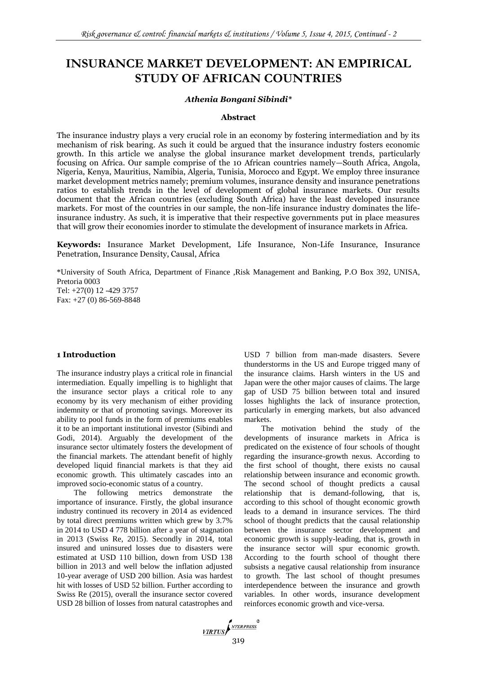# **INSURANCE MARKET DEVELOPMENT: AN EMPIRICAL STUDY OF AFRICAN COUNTRIES**

#### *Athenia Bongani Sibindi\**

## **Abstract**

The insurance industry plays a very crucial role in an economy by fostering intermediation and by its mechanism of risk bearing. As such it could be argued that the insurance industry fosters economic growth. In this article we analyse the global insurance market development trends, particularly focusing on Africa. Our sample comprise of the 10 African countries namely—South Africa, Angola, Nigeria, Kenya, Mauritius, Namibia, Algeria, Tunisia, Morocco and Egypt. We employ three insurance market development metrics namely; premium volumes, insurance density and insurance penetrations ratios to establish trends in the level of development of global insurance markets. Our results document that the African countries (excluding South Africa) have the least developed insurance markets. For most of the countries in our sample, the non-life insurance industry dominates the lifeinsurance industry. As such, it is imperative that their respective governments put in place measures that will grow their economies inorder to stimulate the development of insurance markets in Africa.

**Keywords:** Insurance Market Development, Life Insurance, Non-Life Insurance, Insurance Penetration, Insurance Density, Causal, Africa

\*University of South Africa, Department of Finance ,Risk Management and Banking, P.O Box 392, UNISA, Pretoria 0003 Tel: +27(0) 12 -429 3757 Fax: +27 (0) 86-569-8848

# **1 Introduction**

The insurance industry plays a critical role in financial intermediation. Equally impelling is to highlight that the insurance sector plays a critical role to any economy by its very mechanism of either providing indemnity or that of promoting savings. Moreover its ability to pool funds in the form of premiums enables it to be an important institutional investor (Sibindi and Godi, 2014). Arguably the development of the insurance sector ultimately fosters the development of the financial markets. The attendant benefit of highly developed liquid financial markets is that they aid economic growth. This ultimately cascades into an improved socio-economic status of a country.

The following metrics demonstrate the importance of insurance. Firstly, the global insurance industry continued its recovery in 2014 as evidenced by total direct premiums written which grew by 3.7% in 2014 to USD 4 778 billion after a year of stagnation in 2013 (Swiss Re, 2015). Secondly in 2014, total insured and uninsured losses due to disasters were estimated at USD 110 billion, down from USD 138 billion in 2013 and well below the inflation adjusted 10-year average of USD 200 billion. Asia was hardest hit with losses of USD 52 billion. Further according to Swiss Re (2015), overall the insurance sector covered USD 28 billion of losses from natural catastrophes and USD 7 billion from man-made disasters. Severe thunderstorms in the US and Europe trigged many of the insurance claims. Harsh winters in the US and Japan were the other major causes of claims. The large gap of USD 75 billion between total and insured losses highlights the lack of insurance protection, particularly in emerging markets, but also advanced markets.

The motivation behind the study of the developments of insurance markets in Africa is predicated on the existence of four schools of thought regarding the insurance-growth nexus. According to the first school of thought, there exists no causal relationship between insurance and economic growth. The second school of thought predicts a causal relationship that is demand-following, that is, according to this school of thought economic growth leads to a demand in insurance services. The third school of thought predicts that the causal relationship between the insurance sector development and economic growth is supply-leading, that is, growth in the insurance sector will spur economic growth. According to the fourth school of thought there subsists a negative causal relationship from insurance to growth. The last school of thought presumes interdependence between the insurance and growth variables. In other words, insurance development reinforces economic growth and vice-versa.

VIRTUS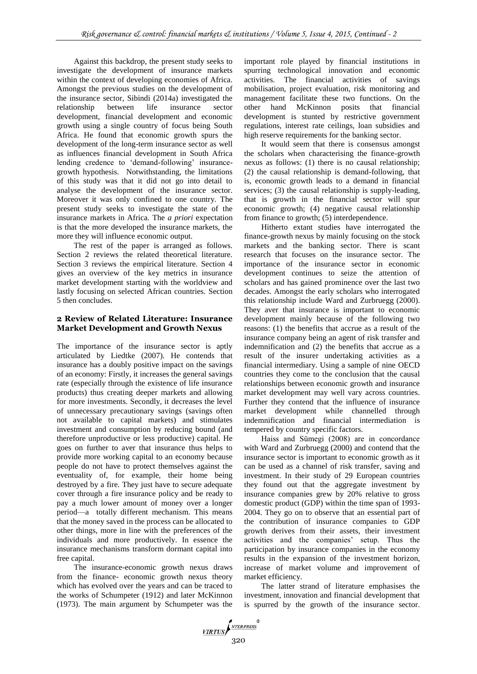Against this backdrop, the present study seeks to investigate the development of insurance markets within the context of developing economies of Africa. Amongst the previous studies on the development of the insurance sector, Sibindi (2014a) investigated the relationship between life insurance sector development, financial development and economic growth using a single country of focus being South Africa. He found that economic growth spurs the development of the long-term insurance sector as well as influences financial development in South Africa lending credence to 'demand-following' insurancegrowth hypothesis. Notwithstanding, the limitations of this study was that it did not go into detail to analyse the development of the insurance sector. Moreover it was only confined to one country. The present study seeks to investigate the state of the insurance markets in Africa. The *a priori* expectation is that the more developed the insurance markets, the more they will influence economic output.

The rest of the paper is arranged as follows. Section 2 reviews the related theoretical literature. Section 3 reviews the empirical literature. Section 4 gives an overview of the key metrics in insurance market development starting with the worldview and lastly focusing on selected African countries. Section 5 then concludes.

# **2 Review of Related Literature: Insurance Market Development and Growth Nexus**

The importance of the insurance sector is aptly articulated by Liedtke (2007). He contends that insurance has a doubly positive impact on the savings of an economy: Firstly, it increases the general savings rate (especially through the existence of life insurance products) thus creating deeper markets and allowing for more investments. Secondly, it decreases the level of unnecessary precautionary savings (savings often not available to capital markets) and stimulates investment and consumption by reducing bound (and therefore unproductive or less productive) capital. He goes on further to aver that insurance thus helps to provide more working capital to an economy because people do not have to protect themselves against the eventuality of, for example, their home being destroyed by a fire. They just have to secure adequate cover through a fire insurance policy and be ready to pay a much lower amount of money over a longer period—a totally different mechanism. This means that the money saved in the process can be allocated to other things, more in line with the preferences of the individuals and more productively. In essence the insurance mechanisms transform dormant capital into free capital.

The insurance-economic growth nexus draws from the finance- economic growth nexus theory which has evolved over the years and can be traced to the works of Schumpeter (1912) and later McKinnon (1973). The main argument by Schumpeter was the important role played by financial institutions in spurring technological innovation and economic activities. The financial activities of savings mobilisation, project evaluation, risk monitoring and management facilitate these two functions. On the other hand McKinnon posits that financial development is stunted by restrictive government regulations, interest rate ceilings, loan subsidies and high reserve requirements for the banking sector.

It would seem that there is consensus amongst the scholars when characterising the finance-growth nexus as follows: (1) there is no causal relationship; (2) the causal relationship is demand-following, that is, economic growth leads to a demand in financial services; (3) the causal relationship is supply-leading, that is growth in the financial sector will spur economic growth; (4) negative causal relationship from finance to growth; (5) interdependence.

Hitherto extant studies have interrogated the finance-growth nexus by mainly focusing on the stock markets and the banking sector. There is scant research that focuses on the insurance sector. The importance of the insurance sector in economic development continues to seize the attention of scholars and has gained prominence over the last two decades. Amongst the early scholars who interrogated this relationship include Ward and Zurbruegg (2000). They aver that insurance is important to economic development mainly because of the following two reasons: (1) the benefits that accrue as a result of the insurance company being an agent of risk transfer and indemnification and (2) the benefits that accrue as a result of the insurer undertaking activities as a financial intermediary. Using a sample of nine OECD countries they come to the conclusion that the causal relationships between economic growth and insurance market development may well vary across countries. Further they contend that the influence of insurance market development while channelled through indemnification and financial intermediation is tempered by country specific factors.

Haiss and Sümegi (2008) are in concordance with Ward and Zurbruegg (2000) and contend that the insurance sector is important to economic growth as it can be used as a channel of risk transfer, saving and investment. In their study of 29 European countries they found out that the aggregate investment by insurance companies grew by 20% relative to gross domestic product (GDP) within the time span of 1993- 2004. They go on to observe that an essential part of the contribution of insurance companies to GDP growth derives from their assets, their investment activities and the companies' setup. Thus the participation by insurance companies in the economy results in the expansion of the investment horizon, increase of market volume and improvement of market efficiency.

The latter strand of literature emphasises the investment, innovation and financial development that is spurred by the growth of the insurance sector.

VIRTUS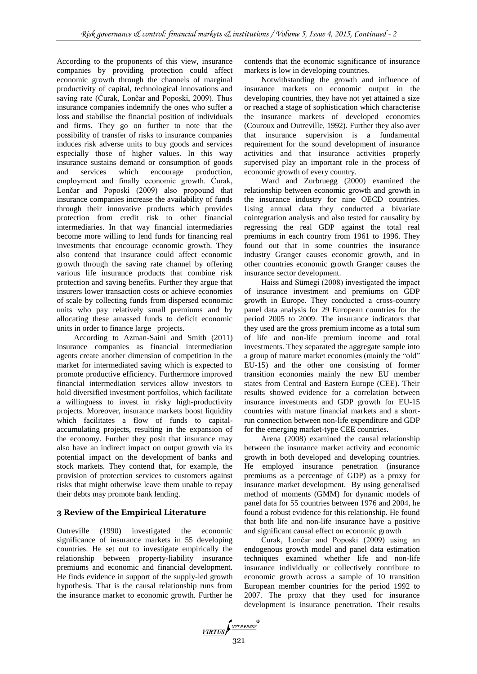According to the proponents of this view, insurance companies by providing protection could affect economic growth through the channels of marginal productivity of capital, technological innovations and saving rate (Ćurak, Lončar and Poposki, 2009). Thus insurance companies indemnify the ones who suffer a loss and stabilise the financial position of individuals and firms. They go on further to note that the possibility of transfer of risks to insurance companies induces risk adverse units to buy goods and services especially those of higher values. In this way insurance sustains demand or consumption of goods and services which encourage production, employment and finally economic growth. Ćurak, Lončar and Poposki (2009) also propound that insurance companies increase the availability of funds through their innovative products which provides protection from credit risk to other financial intermediaries. In that way financial intermediaries become more willing to lend funds for financing real investments that encourage economic growth. They also contend that insurance could affect economic growth through the saving rate channel by offering various life insurance products that combine risk protection and saving benefits. Further they argue that insurers lower transaction costs or achieve economies of scale by collecting funds from dispersed economic units who pay relatively small premiums and by allocating these amassed funds to deficit economic units in order to finance large projects.

According to Azman-Saini and Smith (2011) insurance companies as financial intermediation agents create another dimension of competition in the market for intermediated saving which is expected to promote productive efficiency. Furthermore improved financial intermediation services allow investors to hold diversified investment portfolios, which facilitate a willingness to invest in risky high-productivity projects. Moreover, insurance markets boost liquidity which facilitates a flow of funds to capitalaccumulating projects, resulting in the expansion of the economy. Further they posit that insurance may also have an indirect impact on output growth via its potential impact on the development of banks and stock markets. They contend that, for example, the provision of protection services to customers against risks that might otherwise leave them unable to repay their debts may promote bank lending.

# **3 Review of the Empirical Literature**

Outreville (1990) investigated the economic significance of insurance markets in 55 developing countries. He set out to investigate empirically the relationship between property-liability insurance premiums and economic and financial development. He finds evidence in support of the supply-led growth hypothesis. That is the causal relationship runs from the insurance market to economic growth. Further he

contends that the economic significance of insurance markets is low in developing countries.

Notwithstanding the growth and influence of insurance markets on economic output in the developing countries, they have not yet attained a size or reached a stage of sophistication which characterise the insurance markets of developed economies (Couroux and Outreville, 1992). Further they also aver that insurance supervision is a fundamental requirement for the sound development of insurance activities and that insurance activities properly supervised play an important role in the process of economic growth of every country.

Ward and Zurbruegg (2000) examined the relationship between economic growth and growth in the insurance industry for nine OECD countries. Using annual data they conducted a bivariate cointegration analysis and also tested for causality by regressing the real GDP against the total real premiums in each country from 1961 to 1996. They found out that in some countries the insurance industry Granger causes economic growth, and in other countries economic growth Granger causes the insurance sector development.

Haiss and Sümegi (2008) investigated the impact of insurance investment and premiums on GDP growth in Europe. They conducted a cross-country panel data analysis for 29 European countries for the period 2005 to 2009. The insurance indicators that they used are the gross premium income as a total sum of life and non-life premium income and total investments. They separated the aggregate sample into a group of mature market economies (mainly the "old" EU-15) and the other one consisting of former transition economies mainly the new EU member states from Central and Eastern Europe (CEE). Their results showed evidence for a correlation between insurance investments and GDP growth for EU-15 countries with mature financial markets and a shortrun connection between non-life expenditure and GDP for the emerging market-type CEE countries.

Arena (2008) examined the causal relationship between the insurance market activity and economic growth in both developed and developing countries. He employed insurance penetration (insurance premiums as a percentage of GDP) as a proxy for insurance market development. By using generalised method of moments (GMM) for dynamic models of panel data for 55 countries between 1976 and 2004, he found a robust evidence for this relationship. He found that both life and non-life insurance have a positive and significant causal effect on economic growth

Ćurak, Lončar and Poposki (2009) using an endogenous growth model and panel data estimation techniques examined whether life and non-life insurance individually or collectively contribute to economic growth across a sample of 10 transition European member countries for the period 1992 to 2007. The proxy that they used for insurance development is insurance penetration. Their results

VIRTUS ANTERPRESS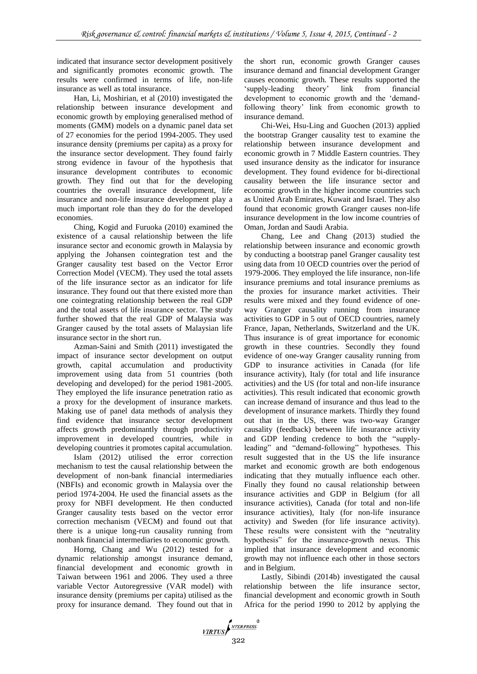indicated that insurance sector development positively and significantly promotes economic growth. The results were confirmed in terms of life, non-life insurance as well as total insurance.

Han, Li, Moshirian, et al (2010) investigated the relationship between insurance development and economic growth by employing generalised method of moments (GMM) models on a dynamic panel data set of 27 economies for the period 1994-2005. They used insurance density (premiums per capita) as a proxy for the insurance sector development. They found fairly strong evidence in favour of the hypothesis that insurance development contributes to economic growth. They find out that for the developing countries the overall insurance development, life insurance and non-life insurance development play a much important role than they do for the developed economies.

Ching, Kogid and Furuoka (2010) examined the existence of a causal relationship between the life insurance sector and economic growth in Malaysia by applying the Johansen cointegration test and the Granger causality test based on the Vector Error Correction Model (VECM). They used the total assets of the life insurance sector as an indicator for life insurance. They found out that there existed more than one cointegrating relationship between the real GDP and the total assets of life insurance sector. The study further showed that the real GDP of Malaysia was Granger caused by the total assets of Malaysian life insurance sector in the short run.

Azman-Saini and Smith (2011) investigated the impact of insurance sector development on output growth, capital accumulation and productivity improvement using data from 51 countries (both developing and developed) for the period 1981-2005. They employed the life insurance penetration ratio as a proxy for the development of insurance markets. Making use of panel data methods of analysis they find evidence that insurance sector development affects growth predominantly through productivity improvement in developed countries, while in developing countries it promotes capital accumulation.

Islam (2012) utilised the error correction mechanism to test the causal relationship between the development of non-bank financial intermediaries (NBFIs) and economic growth in Malaysia over the period 1974-2004. He used the financial assets as the proxy for NBFI development. He then conducted Granger causality tests based on the vector error correction mechanism (VECM) and found out that there is a unique long-run causality running from nonbank financial intermediaries to economic growth.

Horng, Chang and Wu (2012) tested for a dynamic relationship amongst insurance demand, financial development and economic growth in Taiwan between 1961 and 2006. They used a three variable Vector Autoregressive (VAR model) with insurance density (premiums per capita) utilised as the proxy for insurance demand. They found out that in

the short run, economic growth Granger causes insurance demand and financial development Granger causes economic growth. These results supported the 'supply-leading theory' link from financial development to economic growth and the 'demandfollowing theory' link from economic growth to insurance demand.

Chi-Wei, Hsu-Ling and Guochen (2013) applied the bootstrap Granger causality test to examine the relationship between insurance development and economic growth in 7 Middle Eastern countries. They used insurance density as the indicator for insurance development. They found evidence for bi-directional causality between the life insurance sector and economic growth in the higher income countries such as United Arab Emirates, Kuwait and Israel. They also found that economic growth Granger causes non-life insurance development in the low income countries of Oman, Jordan and Saudi Arabia.

Chang, Lee and Chang (2013) studied the relationship between insurance and economic growth by conducting a bootstrap panel Granger causality test using data from 10 OECD countries over the period of 1979-2006. They employed the life insurance, non-life insurance premiums and total insurance premiums as the proxies for insurance market activities. Their results were mixed and they found evidence of oneway Granger causality running from insurance activities to GDP in 5 out of OECD countries, namely France, Japan, Netherlands, Switzerland and the UK. Thus insurance is of great importance for economic growth in these countries. Secondly they found evidence of one-way Granger causality running from GDP to insurance activities in Canada (for life insurance activity), Italy (for total and life insurance activities) and the US (for total and non-life insurance activities). This result indicated that economic growth can increase demand of insurance and thus lead to the development of insurance markets. Thirdly they found out that in the US, there was two-way Granger causality (feedback) between life insurance activity and GDP lending credence to both the "supplyleading" and "demand-following" hypotheses. This result suggested that in the US the life insurance market and economic growth are both endogenous indicating that they mutually influence each other. Finally they found no causal relationship between insurance activities and GDP in Belgium (for all insurance activities), Canada (for total and non-life insurance activities), Italy (for non-life insurance activity) and Sweden (for life insurance activity). These results were consistent with the "neutrality hypothesis" for the insurance-growth nexus. This implied that insurance development and economic growth may not influence each other in those sectors and in Belgium.

Lastly, Sibindi (2014b) investigated the causal relationship between the life insurance sector, financial development and economic growth in South Africa for the period 1990 to 2012 by applying the

VIRTUS<br>322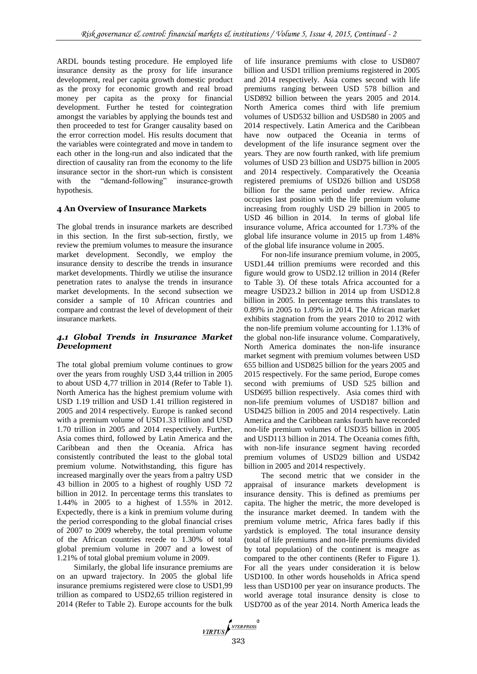ARDL bounds testing procedure. He employed life insurance density as the proxy for life insurance development, real per capita growth domestic product as the proxy for economic growth and real broad money per capita as the proxy for financial development. Further he tested for cointegration amongst the variables by applying the bounds test and then proceeded to test for Granger causality based on the error correction model. His results document that the variables were cointegrated and move in tandem to each other in the long-run and also indicated that the direction of causality ran from the economy to the life insurance sector in the short-run which is consistent with the "demand-following" insurance-growth hypothesis.

# **4 An Overview of Insurance Markets**

The global trends in insurance markets are described in this section. In the first sub-section, firstly, we review the premium volumes to measure the insurance market development. Secondly, we employ the insurance density to describe the trends in insurance market developments. Thirdly we utilise the insurance penetration rates to analyse the trends in insurance market developments. In the second subsection we consider a sample of 10 African countries and compare and contrast the level of development of their insurance markets.

# *4.1 Global Trends in Insurance Market Development*

The total global premium volume continues to grow over the years from roughly USD 3,44 trillion in 2005 to about USD 4,77 trillion in 2014 (Refer to Table 1). North America has the highest premium volume with USD 1.19 trillion and USD 1.41 trillion registered in 2005 and 2014 respectively. Europe is ranked second with a premium volume of USD1.33 trillion and USD 1.70 trillion in 2005 and 2014 respectively. Further, Asia comes third, followed by Latin America and the Caribbean and then the Oceania. Africa has consistently contributed the least to the global total premium volume. Notwithstanding, this figure has increased marginally over the years from a paltry USD 43 billion in 2005 to a highest of roughly USD 72 billion in 2012. In percentage terms this translates to 1.44% in 2005 to a highest of 1.55% in 2012. Expectedly, there is a kink in premium volume during the period corresponding to the global financial crises of 2007 to 2009 whereby, the total premium volume of the African countries recede to 1.30% of total global premium volume in 2007 and a lowest of 1.21% of total global premium volume in 2009.

Similarly, the global life insurance premiums are on an upward trajectory. In 2005 the global life insurance premiums registered were close to USD1,99 trillion as compared to USD2,65 trillion registered in 2014 (Refer to Table 2). Europe accounts for the bulk of life insurance premiums with close to USD807 billion and USD1 trillion premiums registered in 2005 and 2014 respectively. Asia comes second with life premiums ranging between USD 578 billion and USD892 billion between the years 2005 and 2014. North America comes third with life premium volumes of USD532 billion and USD580 in 2005 and 2014 respectively. Latin America and the Caribbean have now outpaced the Oceania in terms of development of the life insurance segment over the years. They are now fourth ranked, with life premium volumes of USD 23 billion and USD75 billion in 2005 and 2014 respectively. Comparatively the Oceania registered premiums of USD26 billion and USD58 billion for the same period under review. Africa occupies last position with the life premium volume increasing from roughly USD 29 billion in 2005 to USD 46 billion in 2014. In terms of global life insurance volume, Africa accounted for 1.73% of the global life insurance volume in 2015 up from 1.48% of the global life insurance volume in 2005.

For non-life insurance premium volume, in 2005, USD1.44 trillion premiums were recorded and this figure would grow to USD2.12 trillion in 2014 (Refer to Table 3). Of these totals Africa accounted for a meagre USD23.2 billion in 2014 up from USD12.8 billion in 2005. In percentage terms this translates to 0.89% in 2005 to 1.09% in 2014. The African market exhibits stagnation from the years 2010 to 2012 with the non-life premium volume accounting for 1.13% of the global non-life insurance volume. Comparatively, North America dominates the non-life insurance market segment with premium volumes between USD 655 billion and USD825 billion for the years 2005 and 2015 respectively. For the same period, Europe comes second with premiums of USD 525 billion and USD695 billion respectively. Asia comes third with non-life premium volumes of USD187 billion and USD425 billion in 2005 and 2014 respectively. Latin America and the Caribbean ranks fourth have recorded non-life premium volumes of USD35 billion in 2005 and USD113 billion in 2014. The Oceania comes fifth, with non-life insurance segment having recorded premium volumes of USD29 billion and USD42 billion in 2005 and 2014 respectively.

The second metric that we consider in the appraisal of insurance markets development is insurance density. This is defined as premiums per capita. The higher the metric, the more developed is the insurance market deemed. In tandem with the premium volume metric, Africa fares badly if this yardstick is employed. The total insurance density (total of life premiums and non-life premiums divided by total population) of the continent is meagre as compared to the other continents (Refer to Figure 1). For all the years under consideration it is below USD100. In other words households in Africa spend less than USD100 per year on insurance products. The world average total insurance density is close to USD700 as of the year 2014. North America leads the

 $VIRTUS \n \begin{cases} \n \text{NTERPRESS} \\
323\n \end{cases}$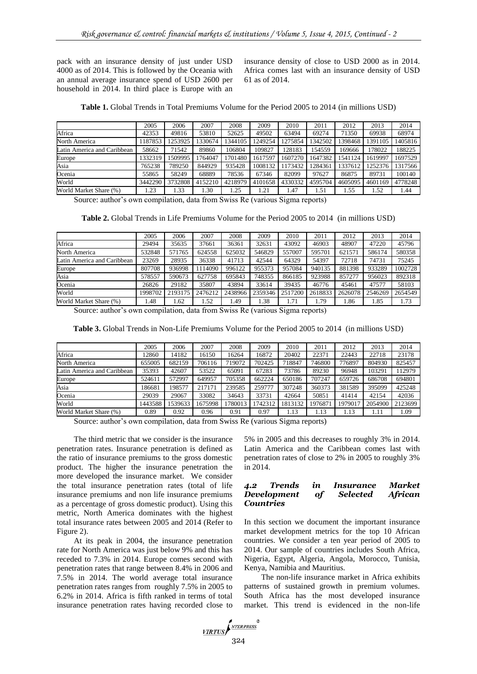pack with an insurance density of just under USD 4000 as of 2014. This is followed by the Oceania with an annual average insurance spend of USD 2600 per household in 2014. In third place is Europe with an insurance density of close to USD 2000 as in 2014. Africa comes last with an insurance density of USD 61 as of 2014.

**Table 1.** Global Trends in Total Premiums Volume for the Period 2005 to 2014 (in millions USD)

|                             | 2005    | 2006    | 2007    | 2008    | 2009    | 2010    | 2011    | 2012    | 2013    | 2014    |
|-----------------------------|---------|---------|---------|---------|---------|---------|---------|---------|---------|---------|
| Africa                      | 42353   | 49816   | 53810   | 52625   | 49502   | 63494   | 69274   | 71350   | 69938   | 68974   |
| North America               | 187853  | 1253925 | 1330674 | 1344105 | 1249254 | 1275854 | 1342502 | 1398468 | 1391105 | 1405816 |
| Latin America and Caribbean | 58662   | 71542   | 89860   | 106804  | 109827  | 128183  | 154559  | 169666  | 178022  | 188225  |
| Europe                      | 1332319 | 1509995 | 1764047 | 1701480 | 1617597 | 1607270 | 1647382 | 1541124 | 1619997 | 1697529 |
| Asia                        | 765238  | 789250  | 844929  | 935428  | 1008132 | 1173432 | 1284361 | 1337612 | 1252376 | 1317566 |
| Ocenia                      | 55865   | 58249   | 68889   | 78536   | 67346   | 82099   | 97627   | 86875   | 89731   | 100140  |
| World                       | 3442290 | 3732808 | 4152210 | 4218979 | 4101658 | 4330332 | 4595704 | 4605095 | 4601169 | 4778248 |
| World Market Share (%)      | .23     | .33     | 1.30    | 1.25    | 1.21    | 1.47    | 1.51    | l.55    | 1.52    | 1.44    |
|                             |         |         |         |         |         |         |         |         |         |         |

Source: author's own compilation, data from Swiss Re (various Sigma reports)

**Table 2.** Global Trends in Life Premiums Volume for the Period 2005 to 2014 (in millions USD)

|                             | 2005    | 2006    | 2007    | 2008    | 2009    | 2010    | 2011    | 2012    | 2013    | 2014    |
|-----------------------------|---------|---------|---------|---------|---------|---------|---------|---------|---------|---------|
| Africa                      | 29494   | 35635   | 37661   | 36361   | 32631   | 43092   | 46903   | 48907   | 47220   | 45796   |
| North America               | 532848  | 571765  | 624558  | 625032  | 546829  | 557007  | 595701  | 621571  | 586174  | 580358  |
| Latin America and Caribbean | 23269   | 28935   | 36338   | 41713   | 42544   | 64329   | 54397   | 72718   | 74731   | 75245   |
| Europe                      | 807708  | 936998  | 1114090 | 996122  | 955373  | 957084  | 940135  | 881398  | 933289  | 1002728 |
| Asia                        | 578557  | 590673  | 627758  | 695843  | 748355  | 866185  | 923988  | 857277  | 956023  | 892318  |
| Ocenia                      | 26826   | 29182   | 35807   | 43894   | 33614   | 39435   | 46776   | 45461   | 47577   | 58103   |
| World                       | 1998702 | 2193175 | 2476212 | 2438966 | 2359346 | 2517200 | 2618833 | 2626078 | 2546269 | 2654549 |
| World Market Share (%)      | 1.48    | .62     | 1.52    | 1.49    | 1.38    | 1.71    | .79     | 1.86    | 1.85    | 1.73    |

Source: author's own compilation, data from Swiss Re (various Sigma reports)

| <b>Table 3.</b> Global Trends in Non-Life Premiums Volume for the Period 2005 to 2014 (in millions USD) |  |  |
|---------------------------------------------------------------------------------------------------------|--|--|
|---------------------------------------------------------------------------------------------------------|--|--|

|                             | 2005    | 2006    | 2007    | 2008    | 2009   | 2010    | 2011   | 2012    | 2013    | 2014    |
|-----------------------------|---------|---------|---------|---------|--------|---------|--------|---------|---------|---------|
| Africa                      | 12860   | 14182   | 16150   | 16264   | 16872  | 20402   | 22371  | 22443   | 22718   | 23178   |
| North America               | 655005  | 682159  | 706116  | 719072  | 702425 | 718847  | 746800 | 776897  | 804930  | 825457  |
| Latin America and Caribbean | 35393   | 42607   | 53522   | 65091   | 67283  | 73786   | 89230  | 96948   | 103291  | 12979   |
| Europe                      | 524611  | 572997  | 649957  | 705358  | 662224 | 650186  | 707247 | 659726  | 686708  | 694801  |
| Asia                        | 186681  | 198577  | 217171  | 239585  | 259777 | 307248  | 360373 | 381589  | 395099  | 425248  |
| Ocenia                      | 29039   | 29067   | 33082   | 34643   | 33731  | 42664   | 50851  | 41414   | 42154   | 42036   |
| World                       | 1443588 | 1539633 | 1675998 | 1780013 | 742312 | 1813132 | 197687 | 1979017 | 2054900 | 2123699 |
| World Market Share (%)      | 0.89    | 0.92    | 0.96    | 0.91    | 0.97   | 1.13    | 1.13   | 1.13    | 1.11    | 1.09    |

Source: author's own compilation, data from Swiss Re (various Sigma reports)

The third metric that we consider is the insurance penetration rates. Insurance penetration is defined as the ratio of insurance premiums to the gross domestic product. The higher the insurance penetration the more developed the insurance market. We consider the total insurance penetration rates (total of life insurance premiums and non life insurance premiums as a percentage of gross domestic product). Using this metric, North America dominates with the highest total insurance rates between 2005 and 2014 (Refer to Figure 2).

At its peak in 2004, the insurance penetration rate for North America was just below 9% and this has receded to 7.3% in 2014. Europe comes second with penetration rates that range between 8.4% in 2006 and 7.5% in 2014. The world average total insurance penetration rates ranges from roughly 7.5% in 2005 to 6.2% in 2014. Africa is fifth ranked in terms of total insurance penetration rates having recorded close to

5% in 2005 and this decreases to roughly 3% in 2014. Latin America and the Caribbean comes last with penetration rates of close to 2% in 2005 to roughly 3% in 2014.

## *4.2 Trends in Insurance Market Development of Countries*

In this section we document the important insurance market development metrics for the top 10 African countries. We consider a ten year period of 2005 to 2014. Our sample of countries includes South Africa, Nigeria, Egypt, Algeria, Angola, Morocco, Tunisia, Kenya, Namibia and Mauritius.

The non-life insurance market in Africa exhibits patterns of sustained growth in premium volumes. South Africa has the most developed insurance market. This trend is evidenced in the non-life

VIRTUS INTERPRESS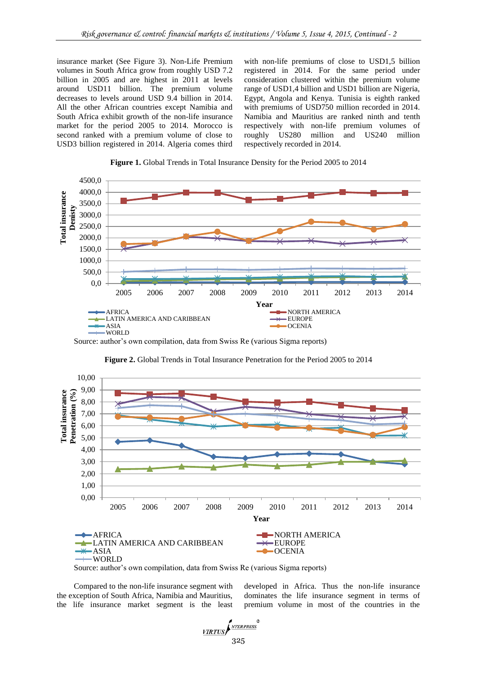insurance market (See Figure 3). Non-Life Premium volumes in South Africa grow from roughly USD 7.2 billion in 2005 and are highest in 2011 at levels around USD11 billion. The premium volume decreases to levels around USD 9.4 billion in 2014. All the other African countries except Namibia and South Africa exhibit growth of the non-life insurance market for the period 2005 to 2014. Morocco is second ranked with a premium volume of close to USD3 billion registered in 2014. Algeria comes third

with non-life premiums of close to USD1,5 billion registered in 2014. For the same period under consideration clustered within the premium volume range of USD1,4 billion and USD1 billion are Nigeria, Egypt, Angola and Kenya. Tunisia is eighth ranked with premiums of USD750 million recorded in 2014. Namibia and Mauritius are ranked ninth and tenth respectively with non-life premium volumes of roughly US280 million and US240 million respectively recorded in 2014.





Source: author's own compilation, data from Swiss Re (various Sigma reports)



**Figure 2.** Global Trends in Total Insurance Penetration for the Period 2005 to 2014

Source: author's own compilation, data from Swiss Re (various Sigma reports)

Compared to the non-life insurance segment with the exception of South Africa, Namibia and Mauritius, the life insurance market segment is the least developed in Africa. Thus the non-life insurance dominates the life insurance segment in terms of premium volume in most of the countries in the

 $\frac{VIRTUS}{325}$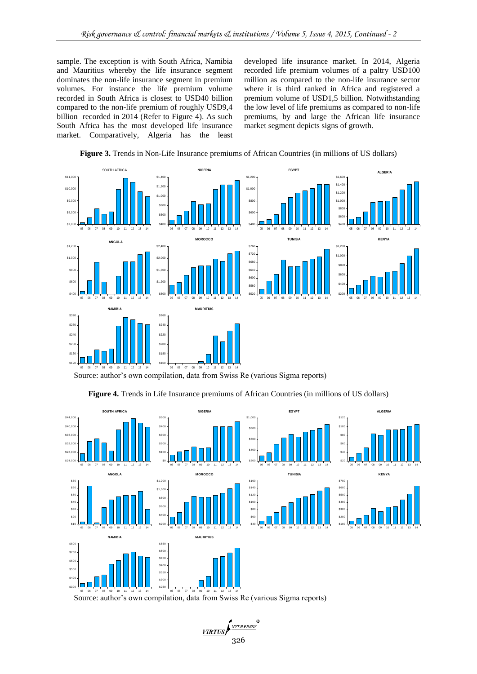sample. The exception is with South Africa, Namibia and Mauritius whereby the life insurance segment dominates the non-life insurance segment in premium volumes. For instance the life premium volume recorded in South Africa is closest to USD40 billion compared to the non-life premium of roughly USD9,4 billion recorded in 2014 (Refer to Figure 4). As such South Africa has the most developed life insurance market. Comparatively, Algeria has the least

developed life insurance market. In 2014, Algeria recorded life premium volumes of a paltry USD100 million as compared to the non-life insurance sector where it is third ranked in Africa and registered a premium volume of USD1,5 billion. Notwithstanding the low level of life premiums as compared to non-life premiums, by and large the African life insurance market segment depicts signs of growth.





Source: author's own compilation, data from Swiss Re (various Sigma reports)

**Figure 4.** Trends in Life Insurance premiums of African Countries (in millions of US dollars)



Source: author's own compilation, data from Swiss Re (various Sigma reports)

VIRTUS 326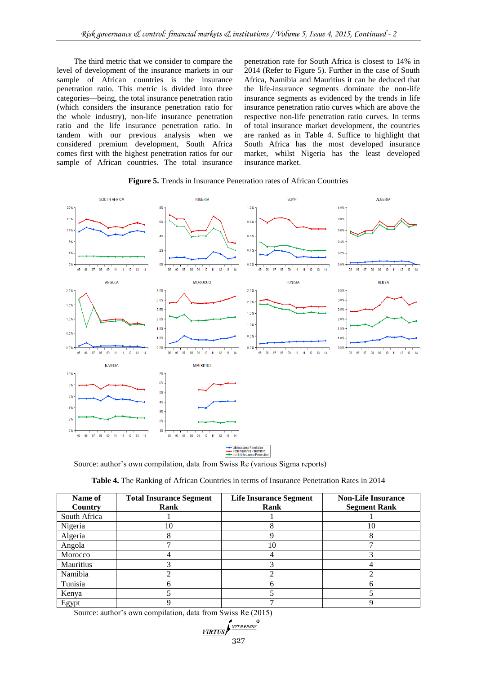The third metric that we consider to compare the level of development of the insurance markets in our sample of African countries is the insurance penetration ratio. This metric is divided into three categories—being, the total insurance penetration ratio (which considers the insurance penetration ratio for the whole industry), non-life insurance penetration ratio and the life insurance penetration ratio. In tandem with our previous analysis when we considered premium development, South Africa comes first with the highest penetration ratios for our sample of African countries. The total insurance

penetration rate for South Africa is closest to 14% in 2014 (Refer to Figure 5). Further in the case of South Africa, Namibia and Mauritius it can be deduced that the life-insurance segments dominate the non-life insurance segments as evidenced by the trends in life insurance penetration ratio curves which are above the respective non-life penetration ratio curves. In terms of total insurance market development, the countries are ranked as in Table 4. Suffice to highlight that South Africa has the most developed insurance market, whilst Nigeria has the least developed insurance market.



#### **Figure 5.** Trends in Insurance Penetration rates of African Countries

Source: author's own compilation, data from Swiss Re (various Sigma reports)

| Table 4. The Ranking of African Countries in terms of Insurance Penetration Rates in 2014 |  |
|-------------------------------------------------------------------------------------------|--|
|-------------------------------------------------------------------------------------------|--|

| Name of<br>Country | <b>Total Insurance Segment</b><br>Rank | <b>Life Insurance Segment</b><br>Rank | <b>Non-Life Insurance</b><br><b>Segment Rank</b> |  |  |
|--------------------|----------------------------------------|---------------------------------------|--------------------------------------------------|--|--|
| South Africa       |                                        |                                       |                                                  |  |  |
| Nigeria            | 10                                     | Λ                                     | 10                                               |  |  |
| Algeria            |                                        |                                       |                                                  |  |  |
| Angola             |                                        | 10                                    |                                                  |  |  |
| Morocco            |                                        |                                       |                                                  |  |  |
| Mauritius          |                                        |                                       |                                                  |  |  |
| Namibia            |                                        |                                       |                                                  |  |  |
| Tunisia            |                                        |                                       |                                                  |  |  |
| Kenya              |                                        |                                       |                                                  |  |  |
| Egypt              |                                        |                                       |                                                  |  |  |

Source: author's own compilation, data from Swiss Re (2015)

$$
\underbrace{\text{VIRTUS}}_{327}
$$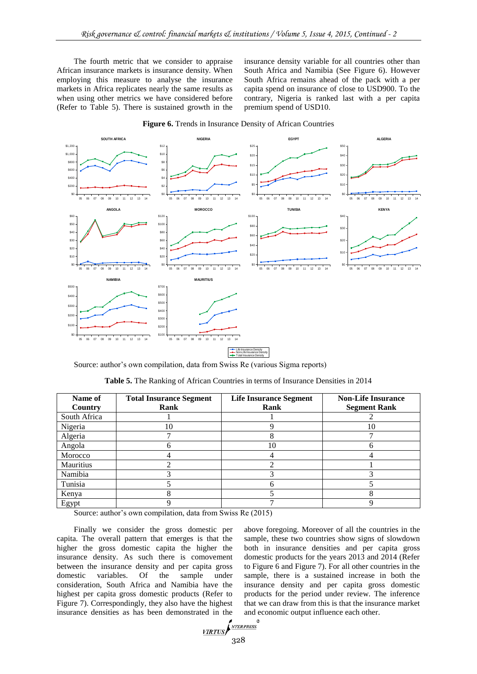The fourth metric that we consider to appraise African insurance markets is insurance density. When employing this measure to analyse the insurance markets in Africa replicates nearly the same results as when using other metrics we have considered before (Refer to Table 5). There is sustained growth in the insurance density variable for all countries other than South Africa and Namibia (See Figure 6). However South Africa remains ahead of the pack with a per capita spend on insurance of close to USD900. To the contrary, Nigeria is ranked last with a per capita premium spend of USD10.



**Figure 6.** Trends in Insurance Density of African Countries

Source: author's own compilation, data from Swiss Re (various Sigma reports)

| Name of        | <b>Total Insurance Segment</b> | <b>Life Insurance Segment</b> | <b>Non-Life Insurance</b> |  |  |
|----------------|--------------------------------|-------------------------------|---------------------------|--|--|
| <b>Country</b> | Rank                           | Rank                          | <b>Segment Rank</b>       |  |  |
| South Africa   |                                |                               |                           |  |  |
| Nigeria        | 10                             |                               | 10                        |  |  |
| Algeria        |                                | Λ                             |                           |  |  |
| Angola         | n                              | 10                            | n                         |  |  |
| Morocco        |                                |                               |                           |  |  |
| Mauritius      |                                |                               |                           |  |  |
| Namibia        |                                |                               |                           |  |  |
| Tunisia        |                                | h                             |                           |  |  |
| Kenya          |                                |                               |                           |  |  |
| Egypt          |                                |                               |                           |  |  |

**Table 5.** The Ranking of African Countries in terms of Insurance Densities in 2014

Source: author's own compilation, data from Swiss Re (2015)

Finally we consider the gross domestic per capita. The overall pattern that emerges is that the higher the gross domestic capita the higher the insurance density. As such there is comovement between the insurance density and per capita gross domestic variables. Of the sample under consideration, South Africa and Namibia have the highest per capita gross domestic products (Refer to Figure 7). Correspondingly, they also have the highest insurance densities as has been demonstrated in the

above foregoing. Moreover of all the countries in the sample, these two countries show signs of slowdown both in insurance densities and per capita gross domestic products for the years 2013 and 2014 (Refer to Figure 6 and Figure 7). For all other countries in the sample, there is a sustained increase in both the insurance density and per capita gross domestic products for the period under review. The inference that we can draw from this is that the insurance market and economic output influence each other.

$$
\underbrace{\text{VIRTUS}}_{228}
$$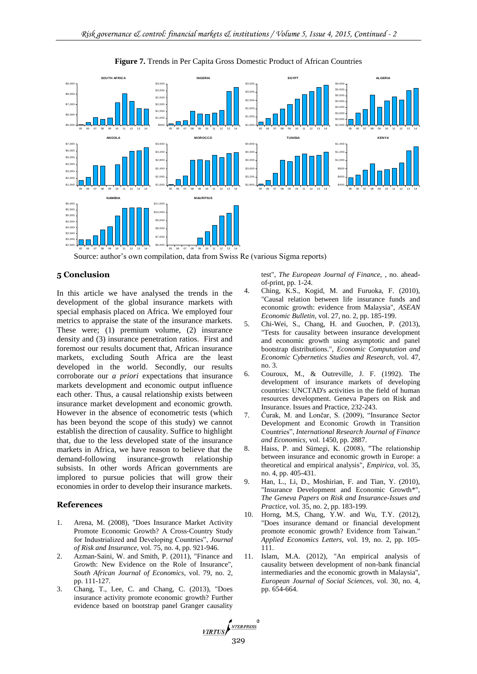

#### **Figure 7.** Trends in Per Capita Gross Domestic Product of African Countries

Source: author's own compilation, data from Swiss Re (various Sigma reports)

# **5 Conclusion**

In this article we have analysed the trends in the development of the global insurance markets with special emphasis placed on Africa. We employed four metrics to appraise the state of the insurance markets. These were; (1) premium volume, (2) insurance density and (3) insurance penetration ratios. First and foremost our results document that, African insurance markets, excluding South Africa are the least developed in the world. Secondly, our results corroborate our *a priori* expectations that insurance markets development and economic output influence each other. Thus, a causal relationship exists between insurance market development and economic growth. However in the absence of econometric tests (which has been beyond the scope of this study) we cannot establish the direction of causality. Suffice to highlight that, due to the less developed state of the insurance markets in Africa, we have reason to believe that the demand-following insurance-growth relationship subsists. In other words African governments are implored to pursue policies that will grow their economies in order to develop their insurance markets.

## **References**

- 1. Arena, M. (2008), "Does Insurance Market Activity Promote Economic Growth? A Cross‐Country Study for Industrialized and Developing Countries", *Journal of Risk and Insurance,* vol. 75, no. 4, pp. 921-946.
- 2. Azman‐Saini, W. and Smith, P. (2011), "Finance and Growth: New Evidence on the Role of Insurance", *South African Journal of Economics,* vol. 79, no. 2, pp. 111-127.
- 3. Chang, T., Lee, C. and Chang, C. (2013), "Does insurance activity promote economic growth? Further evidence based on bootstrap panel Granger causality

test", *The European Journal of Finance,* , no. aheadof-print, pp. 1-24.

- 4. Ching, K.S., Kogid, M. and Furuoka, F. (2010), "Causal relation between life insurance funds and economic growth: evidence from Malaysia", *ASEAN Economic Bulletin,* vol. 27, no. 2, pp. 185-199.
- 5. Chi-Wei, S., Chang, H. and Guochen, P. (2013), "Tests for causality between insurance development and economic growth using asymptotic and panel bootstrap distributions.", *Economic Computation and Economic Cybernetics Studies and Research,* vol. 47, no. 3.
- 6. Couroux, M., & Outreville, J. F. (1992). The development of insurance markets of developing countries: UNCTAD's activities in the field of human resources development. Geneva Papers on Risk and Insurance. Issues and Practice, 232-243.
- 7. Ćurak, M. and Lončar, S. (2009), "Insurance Sector Development and Economic Growth in Transition Countries", *International Research Journal of Finance and Economics,* vol. 1450, pp. 2887.
- 8. Haiss, P. and Sümegi, K. (2008), "The relationship between insurance and economic growth in Europe: a theoretical and empirical analysis", *Empirica,* vol. 35, no. 4, pp. 405-431.
- 9. Han, L., Li, D., Moshirian, F. and Tian, Y. (2010), "Insurance Development and Economic Growth\*", *The Geneva Papers on Risk and Insurance-Issues and Practice,* vol. 35, no. 2, pp. 183-199.
- 10. Horng, M.S, Chang, Y.W. and Wu, T.Y. (2012), "Does insurance demand or financial development promote economic growth? Evidence from Taiwan." *Applied Economics Letters,* vol. 19, no. 2, pp. 105- 111.
- 11. Islam, M.A. (2012), "An empirical analysis of causality between development of non-bank financial intermediaries and the economic growth in Malaysia", *European Journal of Social Sciences,* vol. 30, no. 4, pp. 654-664.

 $\frac{VIRTUS}{329}$